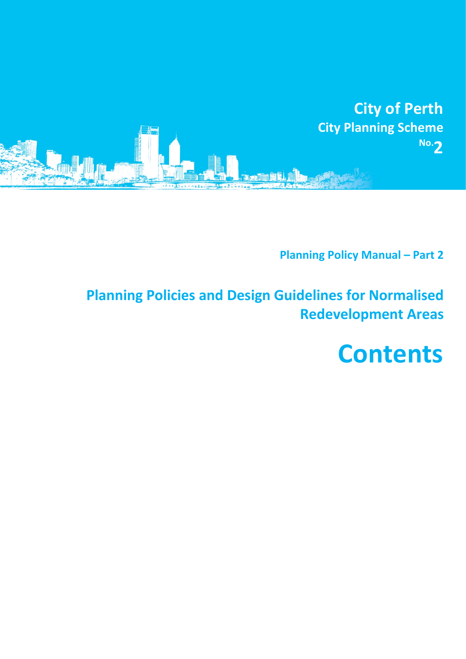

**Planning Policy Manual – Part 2**

**Planning Policies and Design Guidelines for Normalised Redevelopment Areas**

**Contents**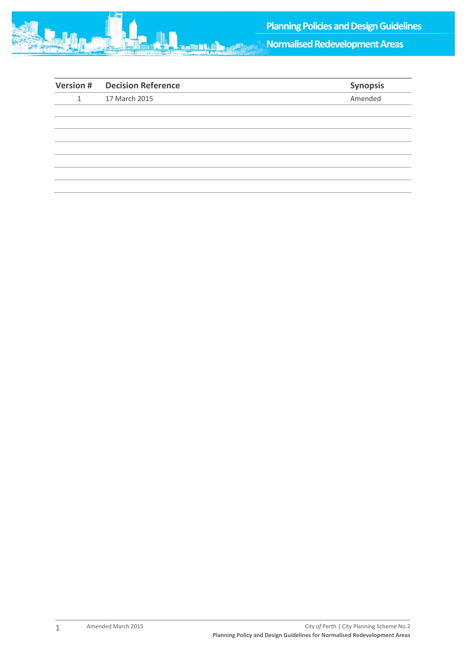

**Normalised Redevelopment Areas**

|   | <b>Version # Decision Reference</b> | Synopsis |
|---|-------------------------------------|----------|
| 1 | 17 March 2015                       | Amended  |
|   |                                     |          |
|   |                                     |          |
|   |                                     |          |
|   |                                     |          |
|   |                                     |          |
|   |                                     |          |
|   |                                     |          |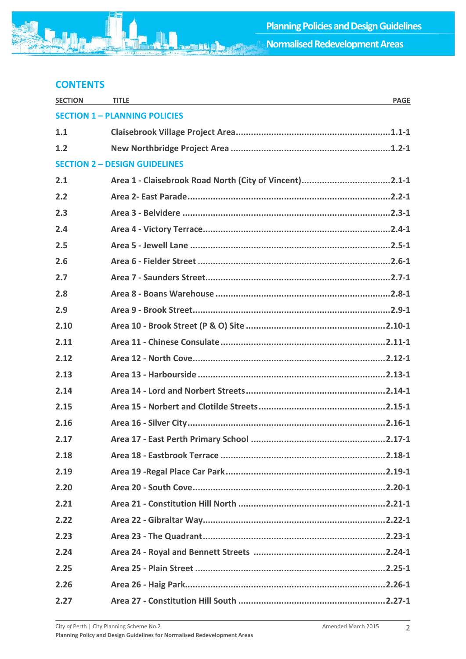## **CONTENTS**

| <b>SECTION</b>                       | <b>TITLE</b><br><b>PAGE</b>                            |  |  |  |
|--------------------------------------|--------------------------------------------------------|--|--|--|
| <b>SECTION 1 - PLANNING POLICIES</b> |                                                        |  |  |  |
| 1.1                                  |                                                        |  |  |  |
| 1.2                                  |                                                        |  |  |  |
| <b>SECTION 2 - DESIGN GUIDELINES</b> |                                                        |  |  |  |
| 2.1                                  | Area 1 - Claisebrook Road North (City of Vincent)2.1-1 |  |  |  |
| 2.2                                  |                                                        |  |  |  |
| 2.3                                  |                                                        |  |  |  |
| 2.4                                  |                                                        |  |  |  |
| 2.5                                  |                                                        |  |  |  |
| 2.6                                  |                                                        |  |  |  |
| 2.7                                  |                                                        |  |  |  |
| 2.8                                  |                                                        |  |  |  |
| 2.9                                  |                                                        |  |  |  |
| 2.10                                 |                                                        |  |  |  |
| 2.11                                 |                                                        |  |  |  |
| 2.12                                 |                                                        |  |  |  |
| 2.13                                 |                                                        |  |  |  |
| 2.14                                 |                                                        |  |  |  |
| 2.15                                 |                                                        |  |  |  |
| 2.16                                 |                                                        |  |  |  |
| 2.17                                 |                                                        |  |  |  |
| 2.18                                 |                                                        |  |  |  |
| 2.19                                 |                                                        |  |  |  |
| 2.20                                 |                                                        |  |  |  |
| 2.21                                 |                                                        |  |  |  |
| 2.22                                 |                                                        |  |  |  |
| 2.23                                 |                                                        |  |  |  |
| 2.24                                 |                                                        |  |  |  |
| 2.25                                 |                                                        |  |  |  |
| 2.26                                 |                                                        |  |  |  |
| 2.27                                 |                                                        |  |  |  |

**SIE**